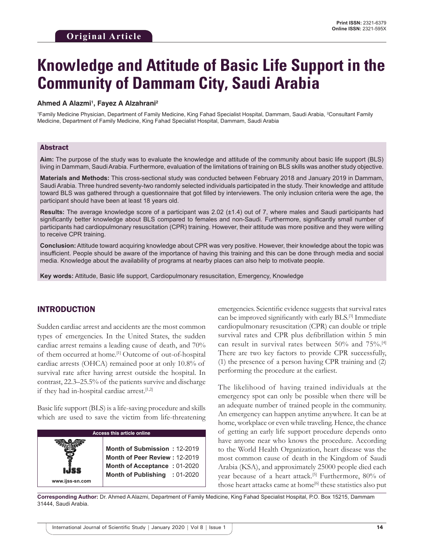# **Knowledge and Attitude of Basic Life Support in the Community of Dammam City, Saudi Arabia**

#### **Ahmed A Alazmi1 , Fayez A Alzahrani2**

1 Family Medicine Physician, Department of Family Medicine, King Fahad Specialist Hospital, Dammam, Saudi Arabia, 2 Consultant Family Medicine, Department of Family Medicine, King Fahad Specialist Hospital, Dammam, Saudi Arabia

#### Abstract

**Aim:** The purpose of the study was to evaluate the knowledge and attitude of the community about basic life support (BLS) living in Dammam, Saudi Arabia. Furthermore, evaluation of the limitations of training on BLS skills was another study objective.

**Materials and Methods:** This cross-sectional study was conducted between February 2018 and January 2019 in Dammam, Saudi Arabia. Three hundred seventy-two randomly selected individuals participated in the study. Their knowledge and attitude toward BLS was gathered through a questionnaire that got filled by interviewers. The only inclusion criteria were the age, the participant should have been at least 18 years old.

**Results:** The average knowledge score of a participant was 2.02 (±1.4) out of 7, where males and Saudi participants had significantly better knowledge about BLS compared to females and non-Saudi. Furthermore, significantly small number of participants had cardiopulmonary resuscitation (CPR) training. However, their attitude was more positive and they were willing to receive CPR training.

**Conclusion:** Attitude toward acquiring knowledge about CPR was very positive. However, their knowledge about the topic was insufficient. People should be aware of the importance of having this training and this can be done through media and social media. Knowledge about the availability of programs at nearby places can also help to motivate people.

**Key words:** Attitude, Basic life support, Cardiopulmonary resuscitation, Emergency, Knowledge

## INTRODUCTION

Sudden cardiac arrest and accidents are the most common types of emergencies. In the United States, the sudden cardiac arrest remains a leading cause of death, and 70% of them occurred at home.<sup>[1]</sup> Outcome of out-of-hospital cardiac arrests (OHCA) remained poor at only 10.8% of survival rate after having arrest outside the hospital. In contrast, 22.3–25.5% of the patients survive and discharge if they had in-hospital cardiac arrest.<sup>[1,2]</sup>

Basic life support (BLS) is a life-saving procedure and skills which are used to save the victim from life-threatening

| <b>Access this article online</b> |                                                                                                                                       |  |  |  |
|-----------------------------------|---------------------------------------------------------------------------------------------------------------------------------------|--|--|--|
| IJSS<br>www.ijss-sn.com           | Month of Submission: 12-2019<br>Month of Peer Review: 12-2019<br><b>Month of Acceptance: 01-2020</b><br>Month of Publishing : 01-2020 |  |  |  |

emergencies. Scientific evidence suggests that survival rates can be improved significantly with early BLS.[3] Immediate cardiopulmonary resuscitation (CPR) can double or triple survival rates and CPR plus defibrillation within 5 min can result in survival rates between 50% and 75%.[4] There are two key factors to provide CPR successfully, (1) the presence of a person having CPR training and (2) performing the procedure at the earliest.

The likelihood of having trained individuals at the emergency spot can only be possible when there will be an adequate number of trained people in the community. An emergency can happen anytime anywhere. It can be at home, workplace or even while traveling. Hence, the chance of getting an early life support procedure depends onto have anyone near who knows the procedure. According to the World Health Organization, heart disease was the most common cause of death in the Kingdom of Saudi Arabia (KSA), and approximately 25000 people died each year because of a heart attack.<sup>[5]</sup> Furthermore, 80% of those heart attacks came at home<sup>[6]</sup> these statistics also put

**Corresponding Author:** Dr. Ahmed A Alazmi, Department of Family Medicine, King Fahad Specialist Hospital, P.O. Box 15215, Dammam 31444, Saudi Arabia.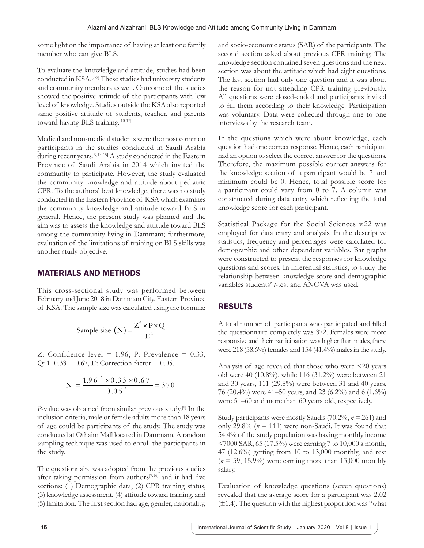some light on the importance of having at least one family member who can give BLS.

To evaluate the knowledge and attitude, studies had been conducted in KSA.[7-9] These studies had university students and community members as well. Outcome of the studies showed the positive attitude of the participants with low level of knowledge. Studies outside the KSA also reported same positive attitude of students, teacher, and parents toward having BLS training.<sup>[10-12]</sup>

Medical and non-medical students were the most common participants in the studies conducted in Saudi Arabia during recent years.[9,13-15] A study conducted in the Eastern Province of Saudi Arabia in 2014 which invited the community to participate. However, the study evaluated the community knowledge and attitude about pediatric CPR. To the authors' best knowledge, there was no study conducted in the Eastern Province of KSA which examines the community knowledge and attitude toward BLS in general. Hence, the present study was planned and the aim was to assess the knowledge and attitude toward BLS among the community living in Dammam; furthermore, evaluation of the limitations of training on BLS skills was another study objective.

# MATERIALS AND METHODS

This cross-sectional study was performed between February and June 2018 in Dammam City, Eastern Province of KSA. The sample size was calculated using the formula:

Sample size (N) = 
$$
\frac{Z^2 \times P \times Q}{E^2}
$$

Z: Confidence level =  $1.96$ , P: Prevalence = 0.33, Q:  $1-0.33 = 0.67$ , E: Correction factor = 0.05.

$$
N = \frac{1.96^{2} \times 0.33 \times 0.67}{0.05^{2}} = 370
$$

*P*-value was obtained from similar previous study.[8] In the inclusion criteria, male or female adults more than 18 years of age could be participants of the study. The study was conducted at Othaim Mall located in Dammam. A random sampling technique was used to enroll the participants in the study.

The questionnaire was adopted from the previous studies after taking permission from authors<sup>[7,16]</sup> and it had five sections: (1) Demographic data, (2) CPR training status, (3) knowledge assessment, (4) attitude toward training, and (5) limitation. The first section had age, gender, nationality, and socio-economic status (SAR) of the participants. The second section asked about previous CPR training. The knowledge section contained seven questions and the next section was about the attitude which had eight questions. The last section had only one question and it was about the reason for not attending CPR training previously. All questions were closed-ended and participants invited to fill them according to their knowledge. Participation was voluntary. Data were collected through one to one interviews by the research team.

In the questions which were about knowledge, each question had one correct response. Hence, each participant had an option to select the correct answer for the questions. Therefore, the maximum possible correct answers for the knowledge section of a participant would be 7 and minimum could be 0. Hence, total possible score for a participant could vary from 0 to 7. A column was constructed during data entry which reflecting the total knowledge score for each participant.

Statistical Package for the Social Sciences v.22 was employed for data entry and analysis. In the descriptive statistics, frequency and percentages were calculated for demographic and other dependent variables. Bar graphs were constructed to present the responses for knowledge questions and scores. In inferential statistics, to study the relationship between knowledge score and demographic variables students' *t*-test and ANOVA was used.

# RESULTS

A total number of participants who participated and filled the questionnaire completely was 372. Females were more responsive and their participation was higher than males, there were 218 (58.6%) females and 154 (41.4%) males in the study.

Analysis of age revealed that those who were <20 years old were 40 (10.8%), while 116 (31.2%) were between 21 and 30 years, 111 (29.8%) were between 31 and 40 years, 76 (20.4%) were 41–50 years, and 23 (6.2%) and 6 (1.6%) were 51–60 and more than 60 years old, respectively.

Study participants were mostly Saudis (70.2%, *n* = 261) and only 29.8% ( $n = 111$ ) were non-Saudi. It was found that 54.4% of the study population was having monthly income <7000 SAR, 65 (17.5%) were earning 7 to 10,000 a month, 47 (12.6%) getting from 10 to 13,000 monthly, and rest  $(n = 59, 15.9\%)$  were earning more than 13,000 monthly salary.

Evaluation of knowledge questions (seven questions) revealed that the average score for a participant was 2.02  $(\pm 1.4)$ . The question with the highest proportion was "what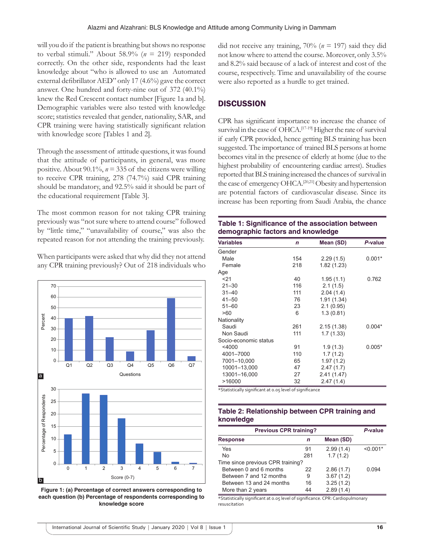will you do if the patient is breathing but shows no response to verbal stimuli." About 58.9% ( $n = 219$ ) responded correctly. On the other side, respondents had the least knowledge about "who is allowed to use an Automated external defibrillator AED" only 17 (4.6%) gave the correct answer. One hundred and forty-nine out of 372 (40.1%) knew the Red Crescent contact number [Figure 1a and b]. Demographic variables were also tested with knowledge score; statistics revealed that gender, nationality, SAR, and CPR training were having statistically significant relation with knowledge score [Tables 1 and 2].

Through the assessment of attitude questions, it was found that the attitude of participants, in general, was more positive. About 90.1%,  $n = 335$  of the citizens were willing to receive CPR training, 278 (74.7%) said CPR training should be mandatory, and 92.5% said it should be part of the educational requirement [Table 3].

The most common reason for not taking CPR training previously was "not sure where to attend course" followed by "little time," "unavailability of course," was also the repeated reason for not attending the training previously.

When participants were asked that why did they not attend any CPR training previously? Out of 218 individuals who



**Figure 1: (a) Percentage of correct answers corresponding to each question (b) Percentage of respondents corresponding to knowledge score**

did not receive any training, 70% (*n* = 197) said they did not know where to attend the course. Moreover, only 3.5% and 8.2% said because of a lack of interest and cost of the course, respectively. Time and unavailability of the course were also reported as a hurdle to get trained.

# **DISCUSSION**

CPR has significant importance to increase the chance of survival in the case of OHCA.<sup>[17-19]</sup> Higher the rate of survival if early CPR provided, hence getting BLS training has been suggested. The importance of trained BLS persons at home becomes vital in the presence of elderly at home (due to the highest probability of encountering cardiac arrest). Studies reported that BLS training increased the chances of survival in the case of emergency OHCA.[20,21] Obesity and hypertension are potential factors of cardiovascular disease. Since its increase has been reporting from Saudi Arabia, the chance

| Table 1: Significance of the association between |
|--------------------------------------------------|
| demographic factors and knowledge                |

| <b>Variables</b>      | $\mathsf{n}$ | Mean (SD)   | P-value  |
|-----------------------|--------------|-------------|----------|
| Gender                |              |             |          |
| Male                  | 154          | 2.29(1.5)   | $0.001*$ |
| Female                | 218          | 1.82(1.23)  |          |
| Age                   |              |             |          |
| 21                    | 40           | 1.95(1.1)   | 0.762    |
| $21 - 30$             | 116          | 2.1(1.5)    |          |
| $31 - 40$             | 111          | 2.04(1.4)   |          |
| $41 - 50$             | 76           | 1.91(1.34)  |          |
| $51 - 60$             | 23           | 2.1(0.95)   |          |
| >60                   | 6            | 1.3(0.81)   |          |
| Nationality           |              |             |          |
| Saudi                 | 261          | 2.15(1.38)  | $0.004*$ |
| Non Saudi             | 111          | 1.7(1.33)   |          |
| Socio-economic status |              |             |          |
| <4000                 | 91           | 1.9(1.3)    | $0.005*$ |
| 4001-7000             | 110          | 1.7(1.2)    |          |
| 7001-10,000           | 65           | 1.97(1.2)   |          |
| 10001-13,000          | 47           | 2.47(1.7)   |          |
| 13001-16,000          | 27           | 2.41 (1.47) |          |
| >16000                | 32           | 2.47(1.4)   |          |

\*Statistically significant at 0.05 level of significance

#### **Table 2: Relationship between CPR training and knowledge**

| <b>Previous CPR training?</b>     |     |           | P-value    |
|-----------------------------------|-----|-----------|------------|
| <b>Response</b>                   | n   | Mean (SD) |            |
| Yes                               | 91  | 2.99(1.4) | $< 0.001*$ |
| <b>No</b>                         | 281 | 1.7(1.2)  |            |
| Time since previous CPR training? |     |           |            |
| Between 0 and 6 months            | 22  | 2.86(1.7) | 0.094      |
| Between 7 and 12 months           | 9   | 3.67(1.2) |            |
| Between 13 and 24 months          | 16  | 3.25(1.2) |            |
| More than 2 years                 | 44  | 2.89(1.4) |            |

\*Statistically significant at 0.05 level of significance. CPR: Cardiopulmonary resuscitation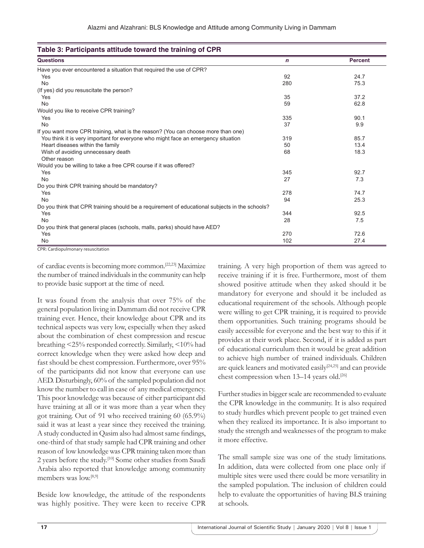| <b>Questions</b>                                                                               | $\mathbf n$ | <b>Percent</b> |
|------------------------------------------------------------------------------------------------|-------------|----------------|
| Have you ever encountered a situation that required the use of CPR?                            |             |                |
| Yes                                                                                            | 92          | 24.7           |
| <b>No</b>                                                                                      | 280         | 75.3           |
| (If yes) did you resuscitate the person?                                                       |             |                |
| Yes                                                                                            | 35          | 37.2           |
| <b>No</b>                                                                                      | 59          | 62.8           |
| Would you like to receive CPR training?                                                        |             |                |
| Yes                                                                                            | 335         | 90.1           |
| <b>No</b>                                                                                      | 37          | 9.9            |
| If you want more CPR training, what is the reason? (You can choose more than one)              |             |                |
| You think it is very important for everyone who might face an emergency situation              | 319         | 85.7           |
| Heart diseases within the family                                                               | 50          | 13.4           |
| Wish of avoiding unnecessary death                                                             | 68          | 18.3           |
| Other reason                                                                                   |             |                |
| Would you be willing to take a free CPR course if it was offered?                              |             |                |
| Yes                                                                                            | 345         | 92.7           |
| <b>No</b>                                                                                      | 27          | 7.3            |
| Do you think CPR training should be mandatory?                                                 |             |                |
| Yes                                                                                            | 278         | 74.7           |
| <b>No</b>                                                                                      | 94          | 25.3           |
| Do you think that CPR training should be a requirement of educational subjects in the schools? |             |                |
| Yes                                                                                            | 344         | 92.5           |
| <b>No</b>                                                                                      | 28          | 7.5            |
| Do you think that general places (schools, malls, parks) should have AED?                      |             |                |
| Yes                                                                                            | 270         | 72.6           |
| <b>No</b>                                                                                      | 102         | 27.4           |

CPR: Cardiopulmonary resuscitation

of cardiac events is becoming more common.[22,23] Maximize the number of trained individuals in the community can help to provide basic support at the time of need.

It was found from the analysis that over 75% of the general population living in Dammam did not receive CPR training ever. Hence, their knowledge about CPR and its technical aspects was very low, especially when they asked about the combination of chest compression and rescue breathing <25% responded correctly. Similarly, <10% had correct knowledge when they were asked how deep and fast should be chest compression. Furthermore, over 95% of the participants did not know that everyone can use AED. Disturbingly, 60% of the sampled population did not know the number to call in case of any medical emergency. This poor knowledge was because of either participant did have training at all or it was more than a year when they got training. Out of 91 who received training 60 (65.9%) said it was at least a year since they received the training. A study conducted in Qasim also had almost same findings, one-third of that study sample had CPR training and other reason of low knowledge was CPR training taken more than 2 years before the study.[10] Some other studies from Saudi Arabia also reported that knowledge among community members was low.[8,9]

Beside low knowledge, the attitude of the respondents was highly positive. They were keen to receive CPR

training. A very high proportion of them was agreed to receive training if it is free. Furthermore, most of them showed positive attitude when they asked should it be mandatory for everyone and should it be included as educational requirement of the schools. Although people were willing to get CPR training, it is required to provide them opportunities. Such training programs should be easily accessible for everyone and the best way to this if it provides at their work place. Second, if it is added as part of educational curriculum then it would be great addition to achieve high number of trained individuals. Children are quick leaners and motivated easily<sup>[24,25]</sup> and can provide chest compression when 13-14 years old.<sup>[26]</sup>

Further studies in bigger scale are recommended to evaluate the CPR knowledge in the community. It is also required to study hurdles which prevent people to get trained even when they realized its importance. It is also important to study the strength and weaknesses of the program to make it more effective.

The small sample size was one of the study limitations. In addition, data were collected from one place only if multiple sites were used there could be more versatility in the sampled population. The inclusion of children could help to evaluate the opportunities of having BLS training at schools.